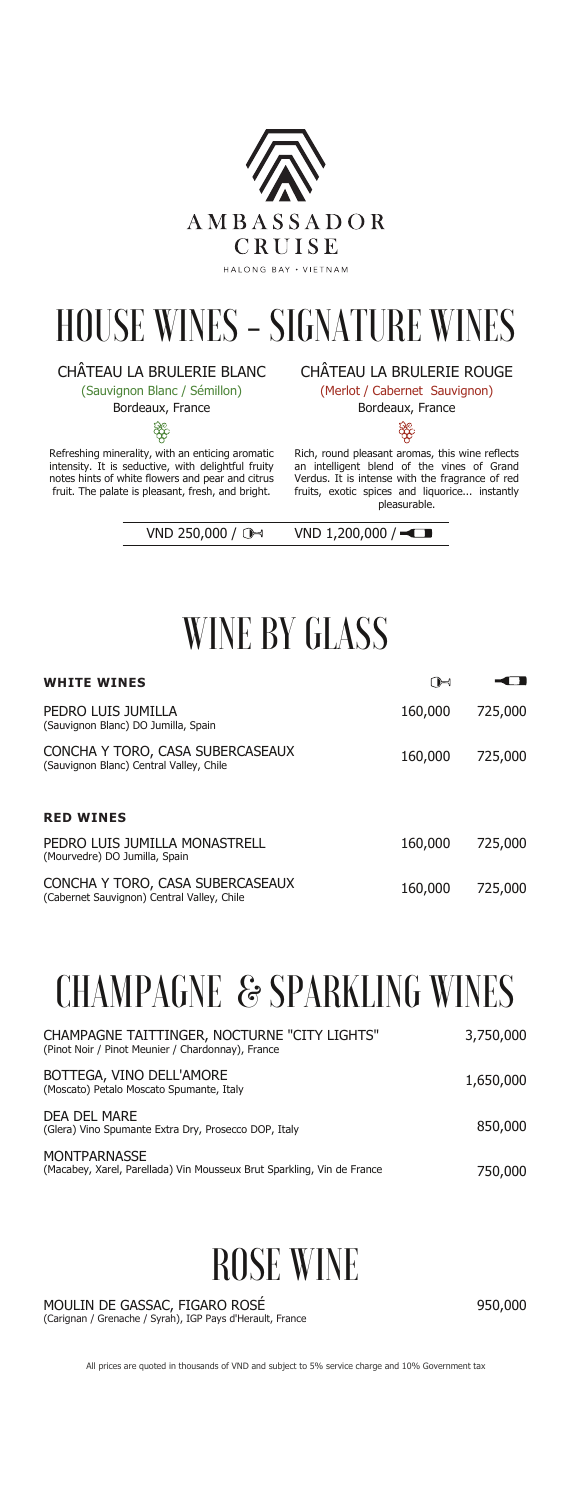Refreshing minerality, with an enticing aromatic intensity. It is seductive, with delightful fruity notes hints of white flowers and pear and citrus fruit. The palate is pleasant, fresh, and bright.

#### CHÂTEAU LA BRULERIE BLANC

(Sauvignon Blanc / Sémillon)

Bordeaux, France

**SSS** 

Rich, round pleasant aromas, this wine reflects an intelligent blend of the vines of Grand Verdus. It is intense with the fragrance of red fruits, exotic spices and liquorice... instantly pleasurable.

VND 250,000 /  $\rightarrow$  VND 1,200,000 /

CHÂTEAU LA BRULERIE ROUGE

(Merlot / Cabernet Sauvignon)

Bordeaux, France

<u>පිඳි</u>



## HOUSE WINES - SIGNATURE WINES

## WINE BY GLASS

**MONTPARNASSE** (Macabey, Xarel, Parellada) Vin Mousseux Brut Sparkling, Vin de France

| <b>WHITE WINES</b>                                                             | ſ)⊣     |         |
|--------------------------------------------------------------------------------|---------|---------|
| PEDRO LUIS JUMILLA<br>(Sauvignon Blanc) DO Jumilla, Spain                      | 160,000 | 725,000 |
| CONCHA Y TORO, CASA SUBERCASEAUX<br>(Sauvignon Blanc) Central Valley, Chile    | 160,000 | 725,000 |
| <b>RED WINES</b>                                                               |         |         |
| PEDRO LUIS JUMILLA MONASTRELL<br>(Mourvedre) DO Jumilla, Spain                 | 160,000 | 725,000 |
| CONCHA Y TORO, CASA SUBERCASEAUX<br>(Cabernet Sauvignon) Central Valley, Chile | 160,000 | 725,000 |

1,650,000

850,000

750,000

| CHAMPAGNE TAITTINGER, NOCTURNE "CITY LIGHTS"      | 3,750,000 |
|---------------------------------------------------|-----------|
| (Pinot Noir / Pinot Meunier / Chardonnay), France |           |
|                                                   |           |

BOTTEGA, VINO DELL'AMORE (Moscato) Petalo Moscato Spumante, Italy

DEA DEL MARE (Glera) Vino Spumante Extra Dry, Prosecco DOP, Italy

## CHAMPAGNE & SPARKLING WINES

#### MOULIN DE GASSAC, FIGARO ROSÉ (Carignan / Grenache / Syrah), IGP Pays d'Herault, France

## ROSE WINE

950,000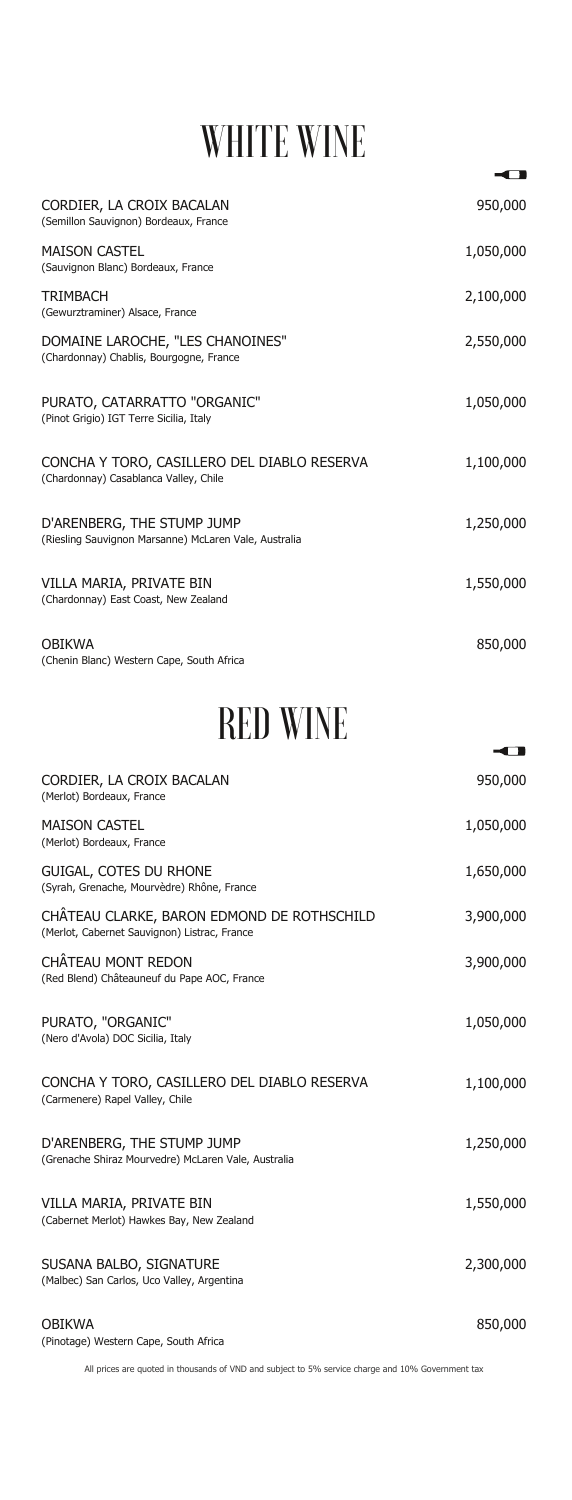## WHITE WINE

| CORDIER, LA CROIX BACALAN<br>(Semillon Sauvignon) Bordeaux, France                   | 950,000   |
|--------------------------------------------------------------------------------------|-----------|
| <b>MAISON CASTEL</b><br>(Sauvignon Blanc) Bordeaux, France                           | 1,050,000 |
| <b>TRIMBACH</b><br>(Gewurztraminer) Alsace, France                                   | 2,100,000 |
| DOMAINE LAROCHE, "LES CHANOINES"<br>(Chardonnay) Chablis, Bourgogne, France          | 2,550,000 |
| PURATO, CATARRATTO "ORGANIC"<br>(Pinot Grigio) IGT Terre Sicilia, Italy              | 1,050,000 |
| CONCHA Y TORO, CASILLERO DEL DIABLO RESERVA<br>(Chardonnay) Casablanca Valley, Chile | 1,100,000 |
| D'ARENBERG, THE STUMP JUMP<br>(Riesling Sauvignon Marsanne) McLaren Vale, Australia  | 1,250,000 |
| VILLA MARIA, PRIVATE BIN<br>(Chardonnay) East Coast, New Zealand                     | 1,550,000 |
| <b>OBIKWA</b><br>(Chenin Blanc) Western Cape, South Africa                           | 850,000   |

All prices are quoted in thousands of VND and subject to 5% service charge and 10% Government tax

| CORDIER, LA CROIX BACALAN<br>(Merlot) Bordeaux, France                                     | 950,000   |
|--------------------------------------------------------------------------------------------|-----------|
| <b>MAISON CASTEL</b><br>(Merlot) Bordeaux, France                                          | 1,050,000 |
| GUIGAL, COTES DU RHONE<br>(Syrah, Grenache, Mourvèdre) Rhône, France                       | 1,650,000 |
| CHÂTEAU CLARKE, BARON EDMOND DE ROTHSCHILD<br>(Merlot, Cabernet Sauvignon) Listrac, France | 3,900,000 |
| <b>CHÂTEAU MONT REDON</b><br>(Red Blend) Châteauneuf du Pape AOC, France                   | 3,900,000 |
| PURATO, "ORGANIC"<br>(Nero d'Avola) DOC Sicilia, Italy                                     | 1,050,000 |
| CONCHA Y TORO, CASILLERO DEL DIABLO RESERVA<br>(Carmenere) Rapel Valley, Chile             | 1,100,000 |

D'ARENBERG, THE STUMP JUMP (Grenache Shiraz Mourvedre) McLaren Vale, Australia

VILLA MARIA, PRIVATE BIN (Cabernet Merlot) Hawkes Bay, New Zealand

SUSANA BALBO, SIGNATURE (Malbec) San Carlos, Uco Valley, Argentina

OBIKWA (Pinotage) Western Cape, South Africa 1,250,000

 $\overline{\phantom{a}}$ 

 $\overline{\phantom{a}}$ 

1,550,000

2,300,000

850,000

## RED WINE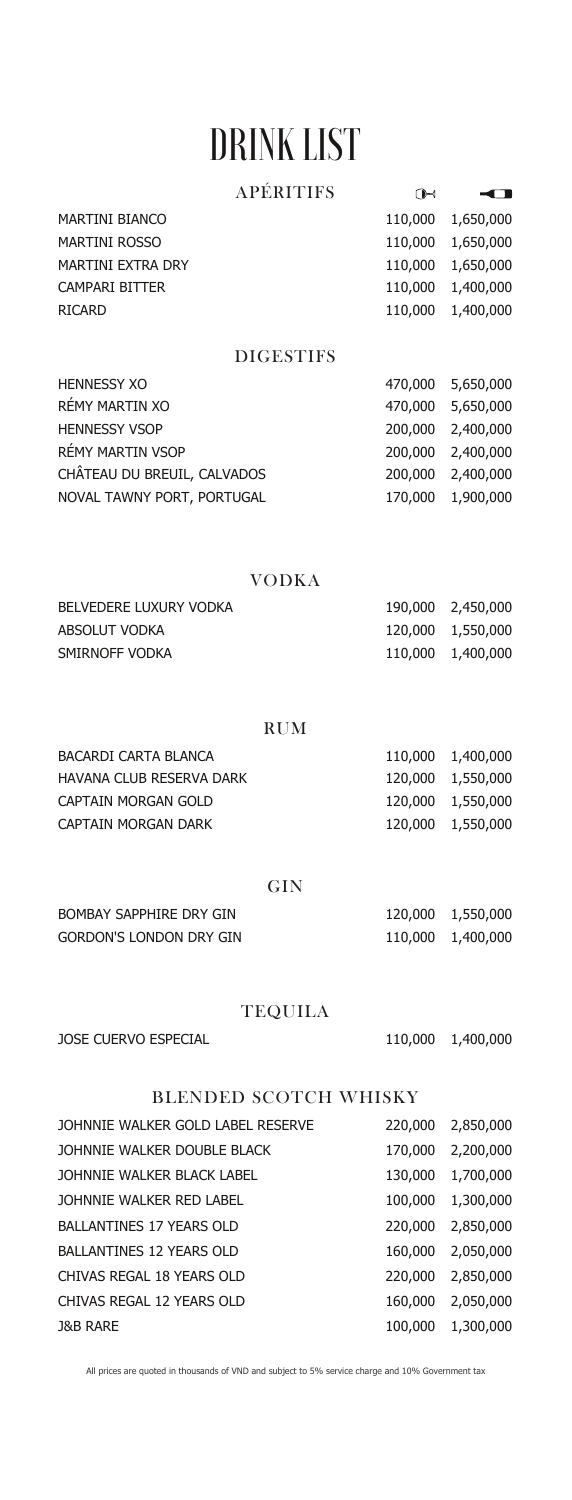# DRINK LIST

| <b>MARTINI BIANCO</b>    | 110,000 1,650,000 |
|--------------------------|-------------------|
| <b>MARTINI ROSSO</b>     | 110,000 1,650,000 |
| <b>MARTINI EXTRA DRY</b> | 110,000 1,650,000 |
| CAMPARI BITTER           | 110,000 1,400,000 |
| <b>RICARD</b>            | 110,000 1,400,000 |

## APÉRITIFS

 $\bigoplus$ 

 $\overline{\phantom{a}}$ 

| <b>HENNESSY XO</b>          | 470,000 5,650,000 |
|-----------------------------|-------------------|
| RÉMY MARTIN XO              | 470,000 5,650,000 |
| <b>HENNESSY VSOP</b>        | 200,000 2,400,000 |
| RÉMY MARTIN VSOP            | 200,000 2,400,000 |
| CHÂTEAU DU BREUIL, CALVADOS | 200,000 2,400,000 |
| NOVAL TAWNY PORT, PORTUGAL  | 170,000 1,900,000 |

### DIGESTIFS

| BELVEDERE LUXURY VODKA |                   | 190,000 2,450,000 |
|------------------------|-------------------|-------------------|
| ABSOLUT VODKA          | 120,000 1,550,000 |                   |
| SMIRNOFF VODKA         |                   | 110,000 1,400,000 |

### VODKA

| <b>BACARDI CARTA BLANCA</b>     | 110,000 1,400,000 |
|---------------------------------|-------------------|
| <b>HAVANA CLUB RESERVA DARK</b> | 120,000 1,550,000 |
| CAPTAIN MORGAN GOLD             | 120,000 1,550,000 |
| CAPTAIN MORGAN DARK             | 120,000 1,550,000 |

### RUM

| <b>BOMBAY SAPPHIRE DRY GIN</b> | 120,000 1,550,000 |
|--------------------------------|-------------------|
| <b>GORDON'S LONDON DRY GIN</b> | 110,000 1,400,000 |

### GIN

| <b>JOSE CUERVO ESPECIAL</b> |  | 110,000 1,400,000 |
|-----------------------------|--|-------------------|
|-----------------------------|--|-------------------|

## TEQUILA

JOHNNIE WALKER GOLD LABEL RESERVE 220,000 2,850,000

| JOHNNIE WALKER DOUBLE BLACK     | 170,000 | 2,200,000         |
|---------------------------------|---------|-------------------|
| JOHNNIE WALKER BLACK LABEL      | 130,000 | 1,700,000         |
| JOHNNIE WALKER RED LABEL        |         | 100,000 1,300,000 |
| <b>BALLANTINES 17 YEARS OLD</b> | 220,000 | 2,850,000         |
| <b>BALLANTINES 12 YEARS OLD</b> | 160,000 | 2,050,000         |
| CHIVAS REGAL 18 YEARS OLD       | 220,000 | 2,850,000         |
| CHIVAS REGAL 12 YEARS OLD       | 160,000 | 2,050,000         |
| <b>J&amp;B RARE</b>             |         | 100,000 1,300,000 |

#### BLENDED SCOTCH WHISKY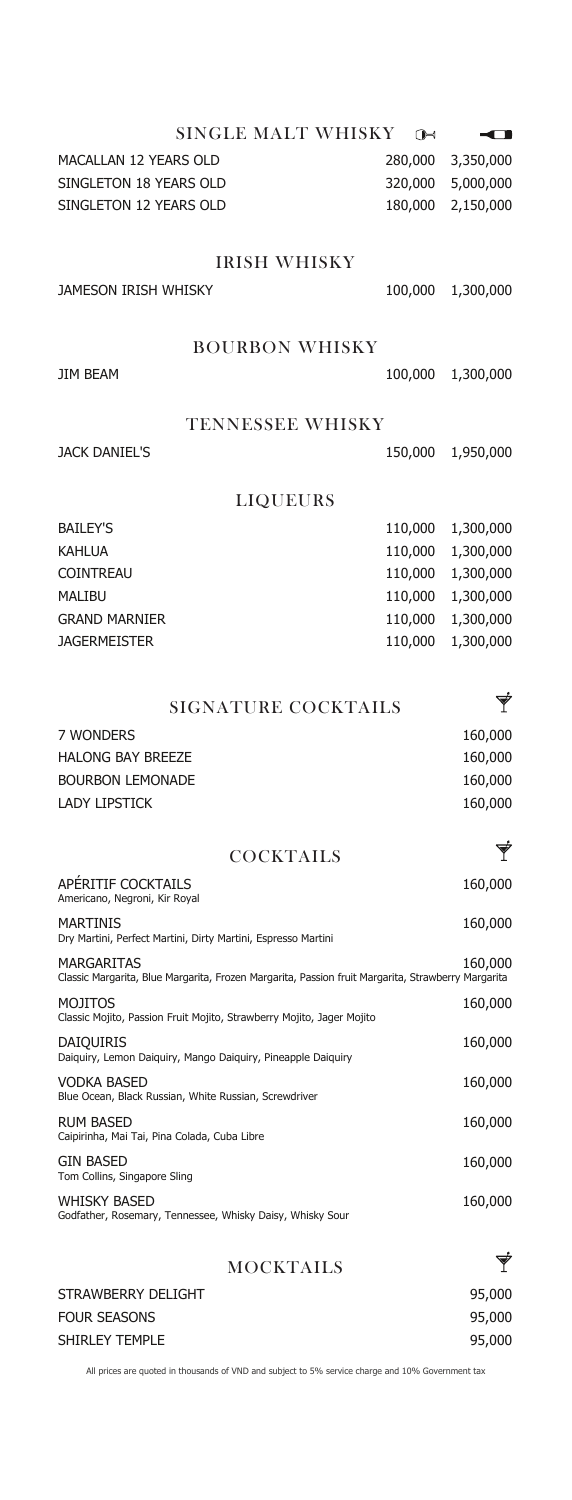| SINGLE MALT WHISKY           | $\bigcap$ |           |
|------------------------------|-----------|-----------|
| <b>MACALLAN 12 YEARS OLD</b> | 280,000   | 3,350,000 |
| SINGLETON 18 YEARS OLD       | 320,000   | 5,000,000 |
| SINGLETON 12 YEARS OLD       | 180,000   | 2,150,000 |
| <b>IRISH WHISKY</b>          |           |           |
| <b>JAMESON IRISH WHISKY</b>  | 100,000   | 1,300,000 |
| <b>BOURBON WHISKY</b>        |           |           |
| <b>JIM BEAM</b>              | 100,000   | 1,300,000 |
| <b>TENNESSEE WHISKY</b>      |           |           |
| <b>JACK DANIEL'S</b>         | 150,000   | 1,950,000 |
| <b>LIQUEURS</b>              |           |           |
| <b>BAILEY'S</b>              | 110,000   | 1,300,000 |
| <b>KAHLUA</b>                | 110,000   | 1,300,000 |
| <b>COINTREAU</b>             | 110,000   | 1,300,000 |
| <b>MALIBU</b>                | 110,000   | 1,300,000 |

GRAND MARNIER JAGERMEISTER

110,000 1,300,000 110,000 1,300,000 110,000 1,300,000

| SIGNATURE COCKTAILS      |         |
|--------------------------|---------|
| 7 WONDERS                | 160,000 |
| <b>HALONG BAY BREEZE</b> | 160,000 |
| <b>BOURBON LEMONADE</b>  | 160,000 |
| <b>LADY LIPSTICK</b>     | 160,000 |
|                          |         |

| <b>COCKTAILS</b>                                                                                                        |         |
|-------------------------------------------------------------------------------------------------------------------------|---------|
| APERITIF COCKTAILS<br>Americano, Negroni, Kir Royal                                                                     | 160,000 |
| <b>MARTINIS</b><br>Dry Martini, Perfect Martini, Dirty Martini, Espresso Martini                                        | 160,000 |
| <b>MARGARITAS</b><br>Classic Margarita, Blue Margarita, Frozen Margarita, Passion fruit Margarita, Strawberry Margarita | 160,000 |
| <b>MOJITOS</b><br>Classic Mojito, Passion Fruit Mojito, Strawberry Mojito, Jager Mojito                                 | 160,000 |
| <b>DAIQUIRIS</b><br>Daiguiry, Lemon Daiguiry, Mango Daiguiry, Pineapple Daiguiry                                        | 160,000 |
| VODKA BASED<br>Blue Ocean, Black Russian, White Russian, Screwdriver                                                    | 160,000 |
| <b>RUM BASED</b>                                                                                                        | 160,000 |

| Caipirinha, Mai Tai, Pina Colada, Cuba Libre                                     |         |
|----------------------------------------------------------------------------------|---------|
| <b>GIN BASED</b><br>Tom Collins, Singapore Sling                                 | 160,000 |
| <b>WHISKY BASED</b><br>Godfather, Rosemary, Tennessee, Whisky Daisy, Whisky Sour | 160,000 |
| <b>MOCKTAILS</b>                                                                 | Ý       |
| STRAWBERRY DELIGHT                                                               | 95,000  |
| <b>FOUR SEASONS</b>                                                              | 95,000  |
| <b>SHIRLEY TEMPLE</b>                                                            | 95,000  |
|                                                                                  |         |